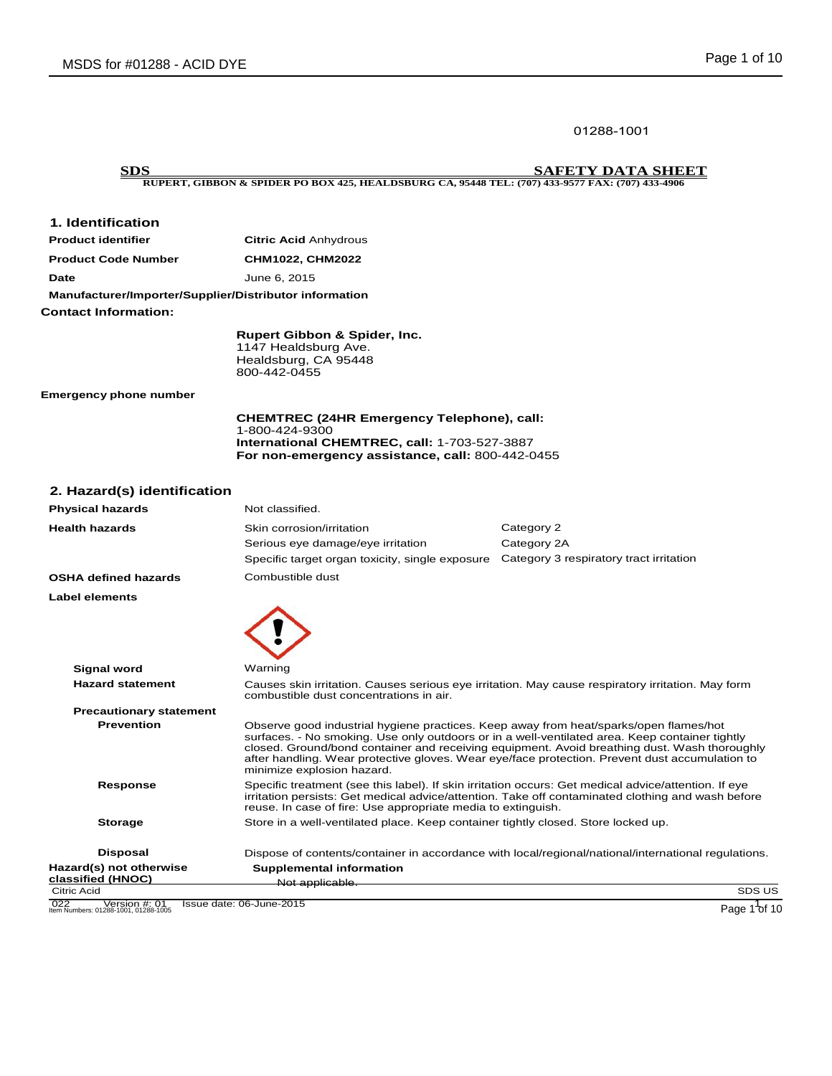01288-1001

**SDS SAFETY DATA SHEET RUPERT, GIBBON & SPIDER PO BOX 425, HEALDSBURG CA, 95448 TEL: (707) 433-9577 FAX: (707) 433-4906**

## **1. Identification**

| <b>Product identifier</b>                              | <b>Citric Acid Anhydrous</b> |  |
|--------------------------------------------------------|------------------------------|--|
| <b>Product Code Number</b>                             | CHM1022, CHM2022             |  |
| Date                                                   | June 6, 2015                 |  |
| Manufacturer/Importer/Supplier/Distributor information |                              |  |
| <b>Contact Information:</b>                            |                              |  |

**Rupert Gibbon & Spider, Inc.** 1147 Healdsburg Ave. Healdsburg, CA 95448 800-442-0455

**Emergency phone number** 

**CHEMTREC (24HR Emergency Telephone), call:** 1-800-424-9300 **International CHEMTREC, call:** 1-703-527-3887 **For non-emergency assistance, call:** 800-442-0455

## **2. Hazard(s) identification**

| <b>Physical hazards</b>                                   | Not classified.                                                                                                                                                                                                                                                                                                                                                                                                         |                                                                                                     |  |
|-----------------------------------------------------------|-------------------------------------------------------------------------------------------------------------------------------------------------------------------------------------------------------------------------------------------------------------------------------------------------------------------------------------------------------------------------------------------------------------------------|-----------------------------------------------------------------------------------------------------|--|
| <b>Health hazards</b>                                     | Skin corrosion/irritation<br>Serious eye damage/eye irritation<br>Specific target organ toxicity, single exposure Category 3 respiratory tract irritation                                                                                                                                                                                                                                                               | Category 2<br>Category 2A                                                                           |  |
| <b>OSHA defined hazards</b>                               | Combustible dust                                                                                                                                                                                                                                                                                                                                                                                                        |                                                                                                     |  |
| <b>Label elements</b>                                     |                                                                                                                                                                                                                                                                                                                                                                                                                         |                                                                                                     |  |
| <b>Signal word</b>                                        | Warning                                                                                                                                                                                                                                                                                                                                                                                                                 |                                                                                                     |  |
| <b>Hazard statement</b>                                   | Causes skin irritation. Causes serious eye irritation. May cause respiratory irritation. May form<br>combustible dust concentrations in air.                                                                                                                                                                                                                                                                            |                                                                                                     |  |
| <b>Precautionary statement</b>                            |                                                                                                                                                                                                                                                                                                                                                                                                                         |                                                                                                     |  |
| <b>Prevention</b>                                         | Observe good industrial hygiene practices. Keep away from heat/sparks/open flames/hot<br>surfaces. - No smoking. Use only outdoors or in a well-ventilated area. Keep container tightly<br>closed. Ground/bond container and receiving equipment. Avoid breathing dust. Wash thoroughly<br>after handling. Wear protective gloves. Wear eye/face protection. Prevent dust accumulation to<br>minimize explosion hazard. |                                                                                                     |  |
| Response                                                  | Specific treatment (see this label). If skin irritation occurs: Get medical advice/attention. If eye<br>irritation persists: Get medical advice/attention. Take off contaminated clothing and wash before<br>reuse. In case of fire: Use appropriate media to extinguish.                                                                                                                                               |                                                                                                     |  |
| <b>Storage</b>                                            | Store in a well-ventilated place. Keep container tightly closed. Store locked up.                                                                                                                                                                                                                                                                                                                                       |                                                                                                     |  |
| <b>Disposal</b>                                           |                                                                                                                                                                                                                                                                                                                                                                                                                         | Dispose of contents/container in accordance with local/regional/national/international regulations. |  |
| Hazard(s) not otherwise                                   | <b>Supplemental information</b>                                                                                                                                                                                                                                                                                                                                                                                         |                                                                                                     |  |
| classified (HNOC)<br>Citric Acid                          | Not applicable.                                                                                                                                                                                                                                                                                                                                                                                                         | SDS US                                                                                              |  |
|                                                           |                                                                                                                                                                                                                                                                                                                                                                                                                         |                                                                                                     |  |
| 022 Version #: 01<br>Item Numbers: 01288-1001, 01288-1005 | Issue date: 06-June-2015                                                                                                                                                                                                                                                                                                                                                                                                | Page 1 of 10                                                                                        |  |

Page 1<sup>1</sup> of 10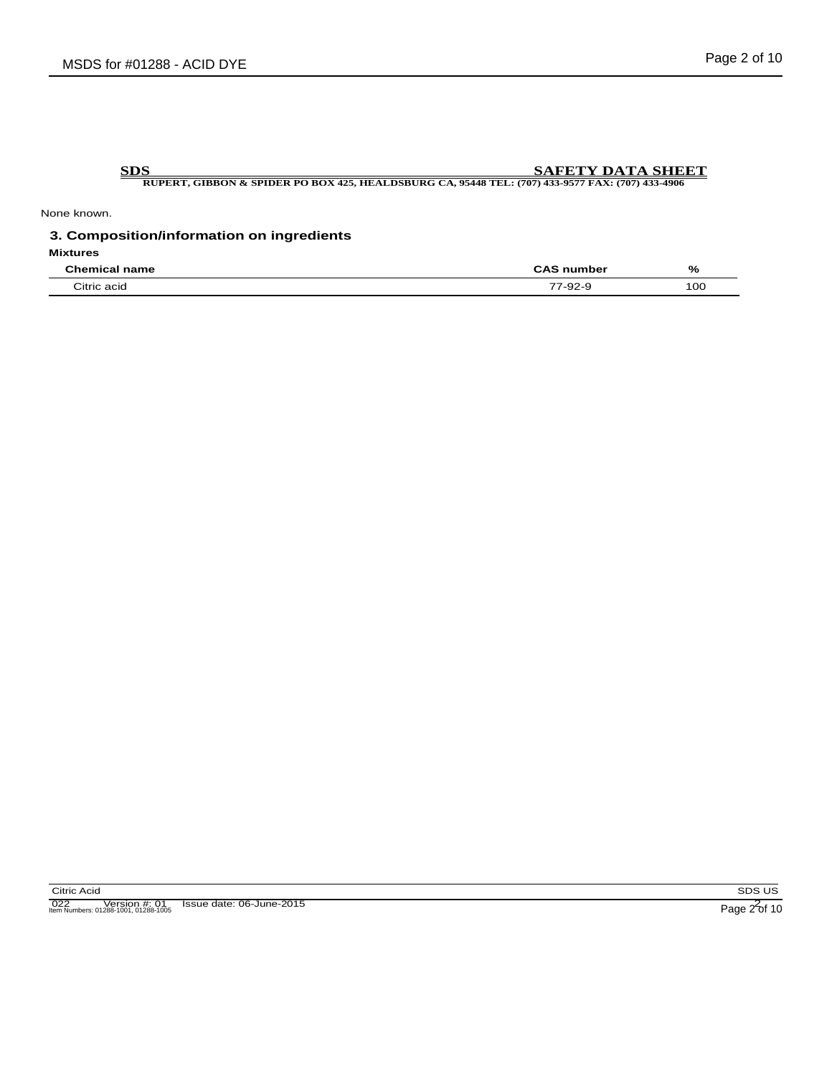None known.

## **3. Composition/information on ingredients**

**Mixtures**

| $\sim$<br>- --                                                   | $\sim$ $\sim$ $\sim$ $\sim$ $\sim$ $\sim$ $\sim$ | %   |
|------------------------------------------------------------------|--------------------------------------------------|-----|
| $\qquad \qquad \cdots \qquad \qquad \cdots \qquad \qquad \cdots$ |                                                  | 100 |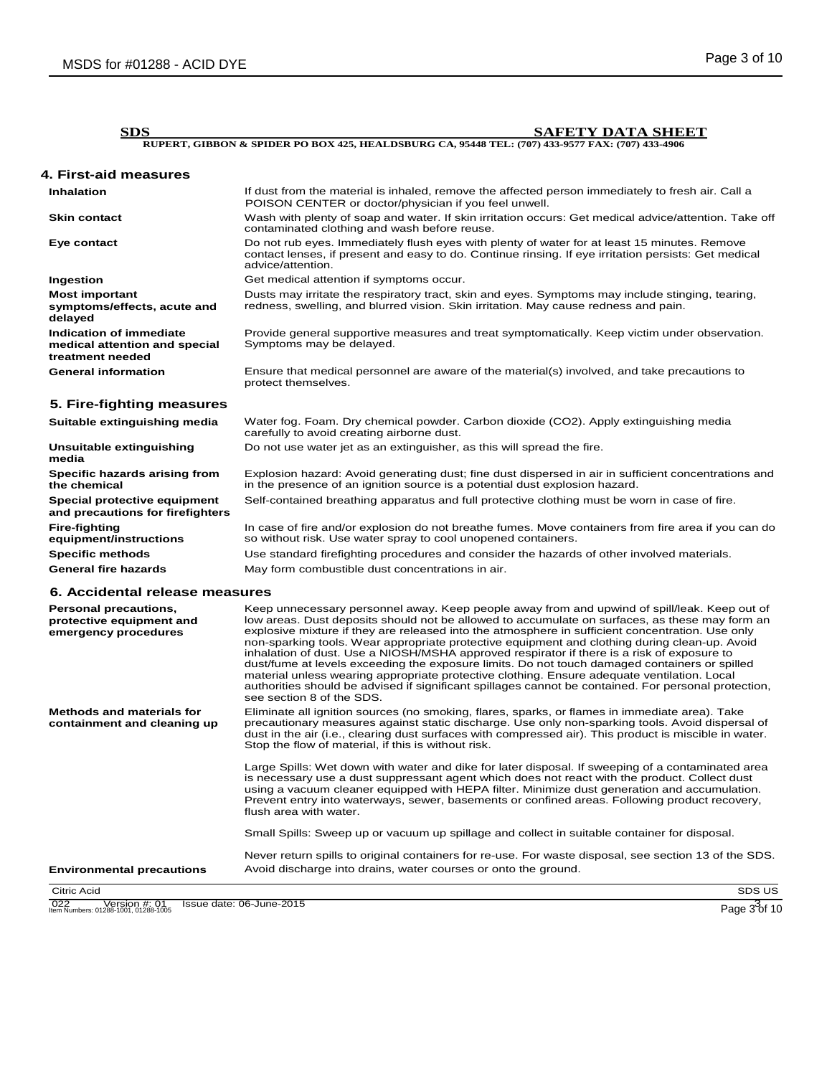| <b>SDS</b>                                                                   | <b>SAFETY DATA SHEET</b>                                                                                                                                                                                                  |
|------------------------------------------------------------------------------|---------------------------------------------------------------------------------------------------------------------------------------------------------------------------------------------------------------------------|
|                                                                              | RUPERT, GIBBON & SPIDER PO BOX 425, HEALDSBURG CA, 95448 TEL; (707) 433-9577 FAX; (707) 433-4906                                                                                                                          |
| 4. First-aid measures                                                        |                                                                                                                                                                                                                           |
| <b>Inhalation</b>                                                            | If dust from the material is inhaled, remove the affected person immediately to fresh air. Call a<br>POISON CENTER or doctor/physician if you feel unwell.                                                                |
| <b>Skin contact</b>                                                          | Wash with plenty of soap and water. If skin irritation occurs: Get medical advice/attention. Take off<br>contaminated clothing and wash before reuse.                                                                     |
| Eye contact                                                                  | Do not rub eyes. Immediately flush eyes with plenty of water for at least 15 minutes. Remove<br>contact lenses, if present and easy to do. Continue rinsing. If eye irritation persists: Get medical<br>advice/attention. |
| Ingestion                                                                    | Get medical attention if symptoms occur.                                                                                                                                                                                  |
| <b>Most important</b><br>symptoms/effects, acute and<br>delayed              | Dusts may irritate the respiratory tract, skin and eyes. Symptoms may include stinging, tearing,<br>redness, swelling, and blurred vision. Skin irritation. May cause redness and pain.                                   |
| Indication of immediate<br>medical attention and special<br>treatment needed | Provide general supportive measures and treat symptomatically. Keep victim under observation.<br>Symptoms may be delayed.                                                                                                 |
| <b>General information</b>                                                   | Ensure that medical personnel are aware of the material(s) involved, and take precautions to<br>protect themselves.                                                                                                       |
| 5. Fire-fighting measures                                                    |                                                                                                                                                                                                                           |
| Suitable extinguishing media                                                 | Water fog. Foam. Dry chemical powder. Carbon dioxide (CO2). Apply extinguishing media<br>carefully to avoid creating airborne dust.                                                                                       |
| Unsuitable extinguishing<br>media                                            | Do not use water jet as an extinguisher, as this will spread the fire.                                                                                                                                                    |
| Specific hazards arising from<br>the chemical                                | Explosion hazard: Avoid generating dust; fine dust dispersed in air in sufficient concentrations and<br>in the presence of an ignition source is a potential dust explosion hazard.                                       |
| Special protective equipment<br>and precautions for firefighters             | Self-contained breathing apparatus and full protective clothing must be worn in case of fire.                                                                                                                             |
| <b>Fire-fighting</b><br>equipment/instructions                               | In case of fire and/or explosion do not breathe fumes. Move containers from fire area if you can do<br>so without risk. Use water spray to cool unopened containers.                                                      |
| <b>Specific methods</b>                                                      | Use standard firefighting procedures and consider the hazards of other involved materials.                                                                                                                                |
| <b>General fire hazards</b>                                                  | May form combustible dust concentrations in air.                                                                                                                                                                          |
| 6. Accidental release measures                                               |                                                                                                                                                                                                                           |

| Personal precautions,<br>protective equipment and<br>emergency procedures | Keep unnecessary personnel away. Keep people away from and upwind of spill/leak. Keep out of<br>low areas. Dust deposits should not be allowed to accumulate on surfaces, as these may form an<br>explosive mixture if they are released into the atmosphere in sufficient concentration. Use only<br>non-sparking tools. Wear appropriate protective equipment and clothing during clean-up. Avoid                             |  |
|---------------------------------------------------------------------------|---------------------------------------------------------------------------------------------------------------------------------------------------------------------------------------------------------------------------------------------------------------------------------------------------------------------------------------------------------------------------------------------------------------------------------|--|
|                                                                           | inhalation of dust. Use a NIOSH/MSHA approved respirator if there is a risk of exposure to<br>dust/fume at levels exceeding the exposure limits. Do not touch damaged containers or spilled<br>material unless wearing appropriate protective clothing. Ensure adequate ventilation. Local<br>authorities should be advised if significant spillages cannot be contained. For personal protection,<br>see section 8 of the SDS. |  |
| Methods and materials for<br>containment and cleaning up                  | Eliminate all ignition sources (no smoking, flares, sparks, or flames in immediate area). Take<br>precautionary measures against static discharge. Use only non-sparking tools. Avoid dispersal of<br>dust in the air (i.e., clearing dust surfaces with compressed air). This product is miscible in water.<br>Stop the flow of material, if this is without risk.                                                             |  |
|                                                                           | Large Spills: Wet down with water and dike for later disposal. If sweeping of a contaminated area<br>is necessary use a dust suppressant agent which does not react with the product. Collect dust<br>using a vacuum cleaner equipped with HEPA filter. Minimize dust generation and accumulation.<br>Prevent entry into waterways, sewer, basements or confined areas. Following product recovery,<br>flush area with water.   |  |
|                                                                           | Small Spills: Sweep up or vacuum up spillage and collect in suitable container for disposal.                                                                                                                                                                                                                                                                                                                                    |  |
|                                                                           | Never return spills to original containers for re-use. For waste disposal, see section 13 of the SDS.                                                                                                                                                                                                                                                                                                                           |  |
| <b>Environmental precautions</b>                                          | Avoid discharge into drains, water courses or onto the ground.                                                                                                                                                                                                                                                                                                                                                                  |  |
| Citric Acid                                                               | SDS US                                                                                                                                                                                                                                                                                                                                                                                                                          |  |

022 Version #: 01 Issue date: 06-June-2015<br>
Item Numbers: 01288-1001, 01288-1005 Page 3 of 10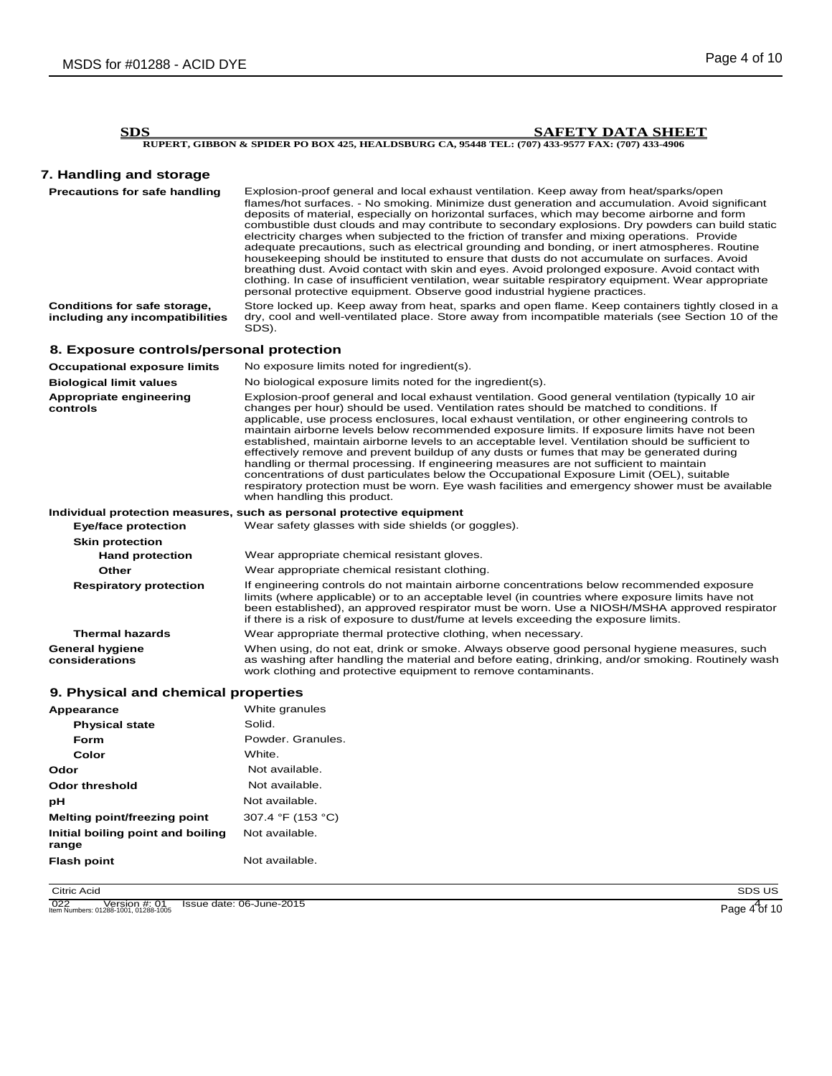# **7. Handling and storage**

**Precautions for safe handling** Explosion-proof general and local exhaust ventilation. Keep away from heat/sparks/open flames/hot surfaces. - No smoking. Minimize dust generation and accumulation. Avoid significant deposits of material, especially on horizontal surfaces, which may become airborne and form combustible dust clouds and may contribute to secondary explosions. Dry powders can build static electricity charges when subjected to the friction of transfer and mixing operations. Provide adequate precautions, such as electrical grounding and bonding, or inert atmospheres. Routine housekeeping should be instituted to ensure that dusts do not accumulate on surfaces. Avoid breathing dust. Avoid contact with skin and eyes. Avoid prolonged exposure. Avoid contact with clothing. In case of insufficient ventilation, wear suitable respiratory equipment. Wear appropriate personal protective equipment. Observe good industrial hygiene practices.

**Conditions for safe storage, including any incompatibilities** Store locked up. Keep away from heat, sparks and open flame. Keep containers tightly closed in a dry, cool and well-ventilated place. Store away from incompatible materials (see Section 10 of the SDS).

## **8. Exposure controls/personal protection**

| <b>Occupational exposure limits</b>      | No exposure limits noted for ingredient(s).                                                                                                                                                                                                                                                                                                                                                                                                                                                                                                                                                                                                                                                                                                                                                                                                                                                                                |
|------------------------------------------|----------------------------------------------------------------------------------------------------------------------------------------------------------------------------------------------------------------------------------------------------------------------------------------------------------------------------------------------------------------------------------------------------------------------------------------------------------------------------------------------------------------------------------------------------------------------------------------------------------------------------------------------------------------------------------------------------------------------------------------------------------------------------------------------------------------------------------------------------------------------------------------------------------------------------|
| <b>Biological limit values</b>           | No biological exposure limits noted for the ingredient(s).                                                                                                                                                                                                                                                                                                                                                                                                                                                                                                                                                                                                                                                                                                                                                                                                                                                                 |
| Appropriate engineering<br>controls      | Explosion-proof general and local exhaust ventilation. Good general ventilation (typically 10 air<br>changes per hour) should be used. Ventilation rates should be matched to conditions. If<br>applicable, use process enclosures, local exhaust ventilation, or other engineering controls to<br>maintain airborne levels below recommended exposure limits. If exposure limits have not been<br>established, maintain airborne levels to an acceptable level. Ventilation should be sufficient to<br>effectively remove and prevent buildup of any dusts or fumes that may be generated during<br>handling or thermal processing. If engineering measures are not sufficient to maintain<br>concentrations of dust particulates below the Occupational Exposure Limit (OEL), suitable<br>respiratory protection must be worn. Eye wash facilities and emergency shower must be available<br>when handling this product. |
|                                          | Individual protection measures, such as personal protective equipment                                                                                                                                                                                                                                                                                                                                                                                                                                                                                                                                                                                                                                                                                                                                                                                                                                                      |
| <b>Eye/face protection</b>               | Wear safety glasses with side shields (or goggles).                                                                                                                                                                                                                                                                                                                                                                                                                                                                                                                                                                                                                                                                                                                                                                                                                                                                        |
| <b>Skin protection</b>                   |                                                                                                                                                                                                                                                                                                                                                                                                                                                                                                                                                                                                                                                                                                                                                                                                                                                                                                                            |
| <b>Hand protection</b>                   | Wear appropriate chemical resistant gloves.                                                                                                                                                                                                                                                                                                                                                                                                                                                                                                                                                                                                                                                                                                                                                                                                                                                                                |
| Other                                    | Wear appropriate chemical resistant clothing.                                                                                                                                                                                                                                                                                                                                                                                                                                                                                                                                                                                                                                                                                                                                                                                                                                                                              |
| <b>Respiratory protection</b>            | If engineering controls do not maintain airborne concentrations below recommended exposure<br>limits (where applicable) or to an acceptable level (in countries where exposure limits have not<br>been established), an approved respirator must be worn. Use a NIOSH/MSHA approved respirator<br>if there is a risk of exposure to dust/fume at levels exceeding the exposure limits.                                                                                                                                                                                                                                                                                                                                                                                                                                                                                                                                     |
| <b>Thermal hazards</b>                   | Wear appropriate thermal protective clothing, when necessary.                                                                                                                                                                                                                                                                                                                                                                                                                                                                                                                                                                                                                                                                                                                                                                                                                                                              |
| <b>General hygiene</b><br>considerations | When using, do not eat, drink or smoke. Always observe good personal hygiene measures, such<br>as washing after handling the material and before eating, drinking, and/or smoking. Routinely wash<br>work clothing and protective equipment to remove contaminants.                                                                                                                                                                                                                                                                                                                                                                                                                                                                                                                                                                                                                                                        |

## **9. Physical and chemical properties**

| Appearance                                 | White granules    |
|--------------------------------------------|-------------------|
| <b>Physical state</b>                      | Solid.            |
| Form                                       | Powder, Granules. |
| Color                                      | White.            |
| Odor                                       | Not available.    |
| Odor threshold                             | Not available.    |
| рH                                         | Not available.    |
| Melting point/freezing point               | 307.4 °F (153 °C) |
| Initial boiling point and boiling<br>range | Not available.    |
| <b>Flash point</b>                         | Not available.    |

Citric Acid

022 Version #: 01 Issue date: 06-June-2015<br>
Item Numbers: 01288-1001, 01288-1005 Page 4 of 10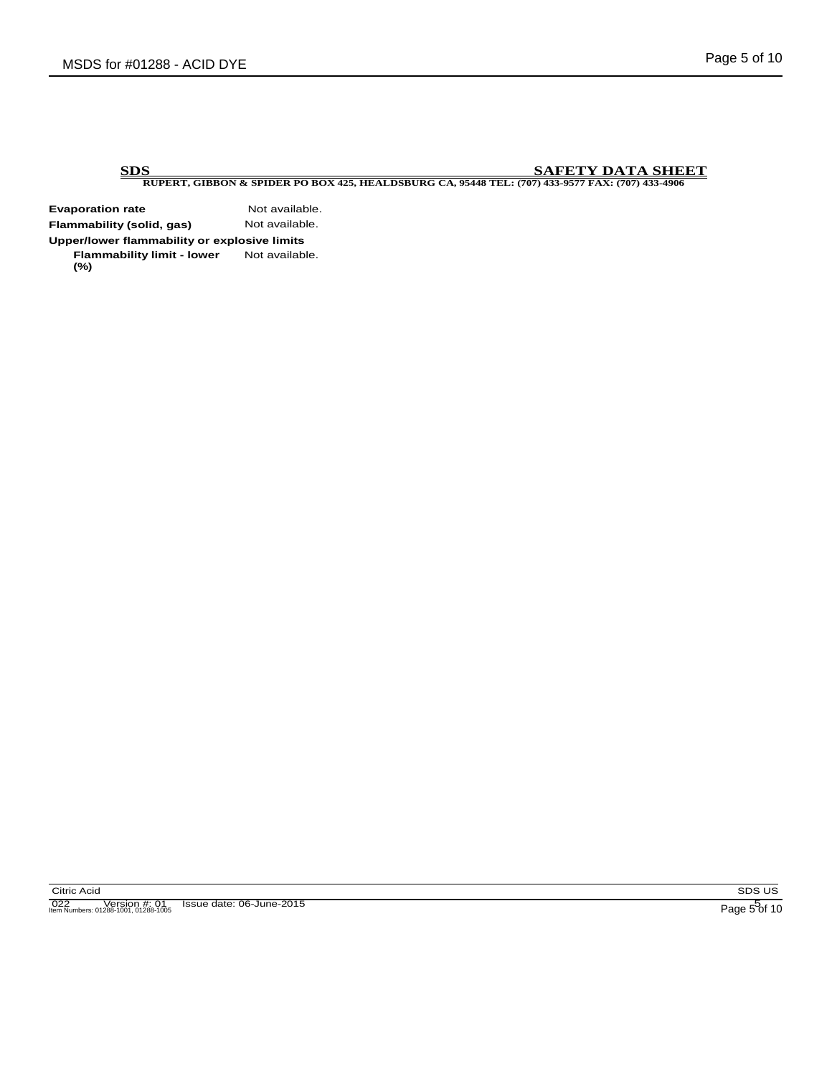**Evaporation rate Not available.**<br> **Flammability (solid, gas)** Not available. **Flammability (solid, gas) Upper/lower flammability or explosive limits Flammability limit - lower (%)** Not available.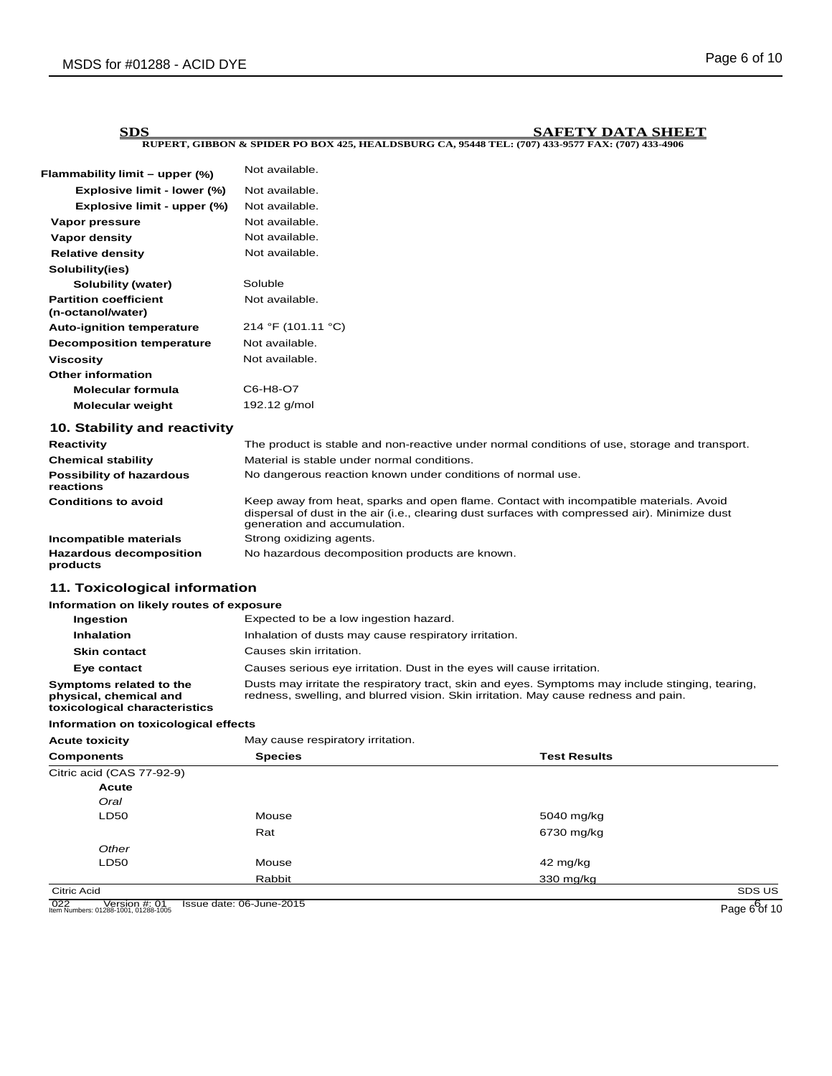| Flammability limit – upper (%)                                                     | Not available.                                                                                                                                                                                                           |                     |  |
|------------------------------------------------------------------------------------|--------------------------------------------------------------------------------------------------------------------------------------------------------------------------------------------------------------------------|---------------------|--|
| Explosive limit - lower (%)                                                        | Not available.                                                                                                                                                                                                           |                     |  |
| Explosive limit - upper (%)                                                        | Not available.                                                                                                                                                                                                           |                     |  |
| Vapor pressure                                                                     | Not available.                                                                                                                                                                                                           |                     |  |
| <b>Vapor density</b>                                                               | Not available.                                                                                                                                                                                                           |                     |  |
| <b>Relative density</b>                                                            | Not available.                                                                                                                                                                                                           |                     |  |
| Solubility(ies)                                                                    |                                                                                                                                                                                                                          |                     |  |
| <b>Solubility (water)</b>                                                          | Soluble                                                                                                                                                                                                                  |                     |  |
| <b>Partition coefficient</b><br>(n-octanol/water)                                  | Not available.                                                                                                                                                                                                           |                     |  |
| <b>Auto-ignition temperature</b>                                                   | 214 °F (101.11 °C)                                                                                                                                                                                                       |                     |  |
| <b>Decomposition temperature</b>                                                   | Not available.                                                                                                                                                                                                           |                     |  |
| <b>Viscosity</b>                                                                   | Not available.                                                                                                                                                                                                           |                     |  |
| <b>Other information</b>                                                           |                                                                                                                                                                                                                          |                     |  |
| <b>Molecular formula</b>                                                           | C6-H8-O7                                                                                                                                                                                                                 |                     |  |
| <b>Molecular weight</b>                                                            | 192.12 g/mol                                                                                                                                                                                                             |                     |  |
| 10. Stability and reactivity                                                       |                                                                                                                                                                                                                          |                     |  |
| Reactivity                                                                         | The product is stable and non-reactive under normal conditions of use, storage and transport.                                                                                                                            |                     |  |
| <b>Chemical stability</b>                                                          | Material is stable under normal conditions.                                                                                                                                                                              |                     |  |
| <b>Possibility of hazardous</b><br>reactions                                       | No dangerous reaction known under conditions of normal use.                                                                                                                                                              |                     |  |
| <b>Conditions to avoid</b>                                                         | Keep away from heat, sparks and open flame. Contact with incompatible materials. Avoid<br>dispersal of dust in the air (i.e., clearing dust surfaces with compressed air). Minimize dust<br>generation and accumulation. |                     |  |
| Incompatible materials                                                             | Strong oxidizing agents.                                                                                                                                                                                                 |                     |  |
| <b>Hazardous decomposition</b><br>products                                         | No hazardous decomposition products are known.                                                                                                                                                                           |                     |  |
| 11. Toxicological information                                                      |                                                                                                                                                                                                                          |                     |  |
| Information on likely routes of exposure                                           |                                                                                                                                                                                                                          |                     |  |
| Ingestion                                                                          | Expected to be a low ingestion hazard.                                                                                                                                                                                   |                     |  |
| <b>Inhalation</b>                                                                  | Inhalation of dusts may cause respiratory irritation.                                                                                                                                                                    |                     |  |
| <b>Skin contact</b>                                                                | Causes skin irritation.                                                                                                                                                                                                  |                     |  |
| Eye contact                                                                        | Causes serious eye irritation. Dust in the eyes will cause irritation.                                                                                                                                                   |                     |  |
| Symptoms related to the<br>physical, chemical and<br>toxicological characteristics | Dusts may irritate the respiratory tract, skin and eyes. Symptoms may include stinging, tearing,<br>redness, swelling, and blurred vision. Skin irritation. May cause redness and pain.                                  |                     |  |
| Information on toxicological effects                                               |                                                                                                                                                                                                                          |                     |  |
| <b>Acute toxicity</b>                                                              | May cause respiratory irritation.                                                                                                                                                                                        |                     |  |
| <b>Components</b>                                                                  | <b>Species</b>                                                                                                                                                                                                           | <b>Test Results</b> |  |
| Citric acid (CAS 77-92-9)                                                          |                                                                                                                                                                                                                          |                     |  |
| <b>Acute</b>                                                                       |                                                                                                                                                                                                                          |                     |  |
| Oral                                                                               |                                                                                                                                                                                                                          |                     |  |
| LD50                                                                               | Mouse                                                                                                                                                                                                                    | 5040 mg/kg          |  |
|                                                                                    | Rat                                                                                                                                                                                                                      | 6730 mg/kg          |  |
| Other                                                                              |                                                                                                                                                                                                                          |                     |  |
| LD50                                                                               | Mouse                                                                                                                                                                                                                    | 42 mg/kg            |  |
|                                                                                    | Rabbit                                                                                                                                                                                                                   | 330 mg/kg           |  |
| <b>Citric Acid</b>                                                                 |                                                                                                                                                                                                                          | SDS US              |  |

022 Version #: 01 Issue date: 06-June-2015<br>Item Numbers: 01288-1001, 01288-1005 **Page 6 of 10** 

Page  $66$  10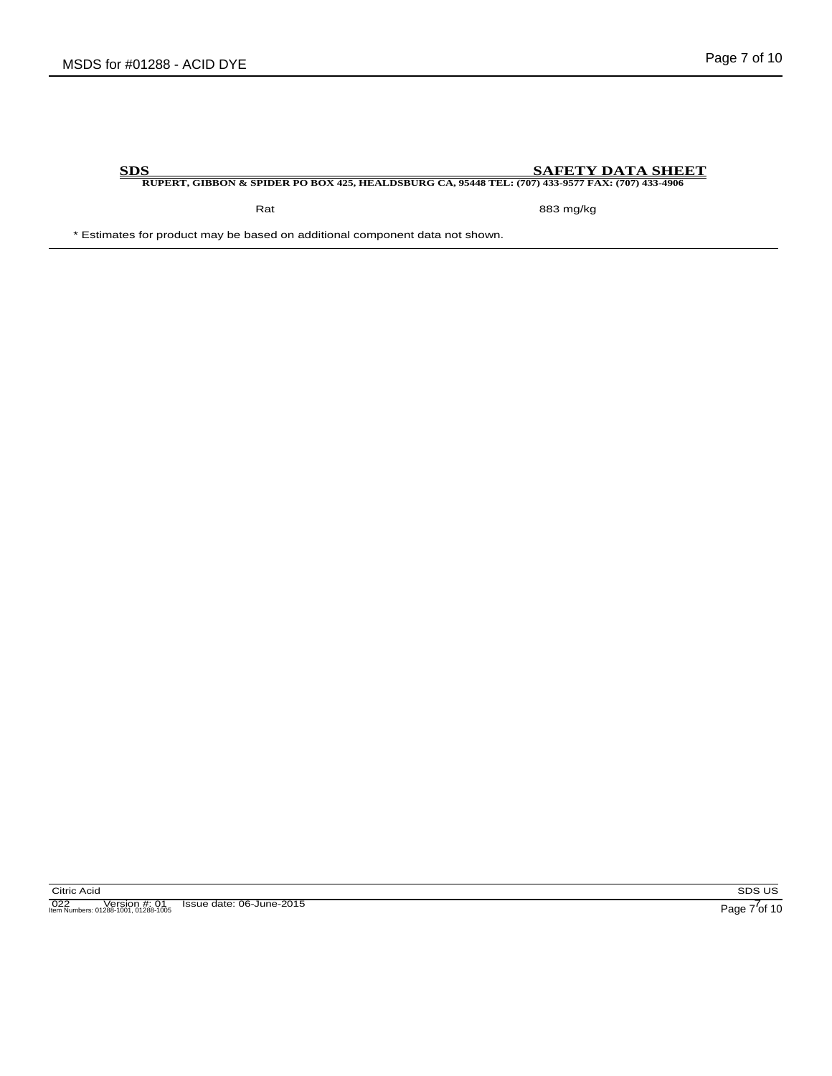Rat 883 mg/kg

\* Estimates for product may be based on additional component data not shown.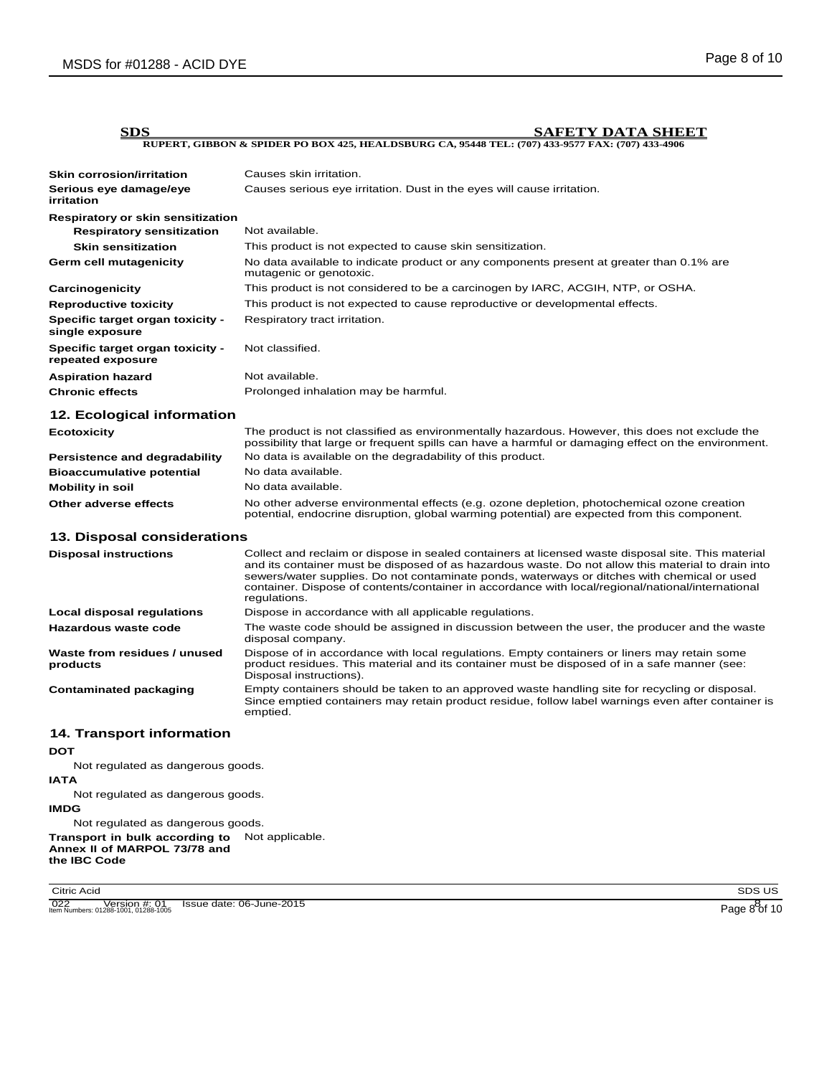| SDS                                                   | SAEETY DATA SHEET                                                                                                                                                                                                                                                                                                                                                                                                            |
|-------------------------------------------------------|------------------------------------------------------------------------------------------------------------------------------------------------------------------------------------------------------------------------------------------------------------------------------------------------------------------------------------------------------------------------------------------------------------------------------|
|                                                       | RUPERT, GIBBON & SPIDER PO BOX 425, HEALDSBURG CA, 95448 TEL: (707) 433-9577 FAX: (707) 433-4906                                                                                                                                                                                                                                                                                                                             |
|                                                       |                                                                                                                                                                                                                                                                                                                                                                                                                              |
| <b>Skin corrosion/irritation</b>                      | Causes skin irritation.                                                                                                                                                                                                                                                                                                                                                                                                      |
| Serious eye damage/eye<br>irritation                  | Causes serious eye irritation. Dust in the eyes will cause irritation.                                                                                                                                                                                                                                                                                                                                                       |
| <b>Respiratory or skin sensitization</b>              |                                                                                                                                                                                                                                                                                                                                                                                                                              |
| <b>Respiratory sensitization</b>                      | Not available.                                                                                                                                                                                                                                                                                                                                                                                                               |
| <b>Skin sensitization</b>                             | This product is not expected to cause skin sensitization.                                                                                                                                                                                                                                                                                                                                                                    |
| Germ cell mutagenicity                                | No data available to indicate product or any components present at greater than 0.1% are<br>mutagenic or genotoxic.                                                                                                                                                                                                                                                                                                          |
| Carcinogenicity                                       | This product is not considered to be a carcinogen by IARC, ACGIH, NTP, or OSHA.                                                                                                                                                                                                                                                                                                                                              |
| <b>Reproductive toxicity</b>                          | This product is not expected to cause reproductive or developmental effects.                                                                                                                                                                                                                                                                                                                                                 |
| Specific target organ toxicity -<br>single exposure   | Respiratory tract irritation.                                                                                                                                                                                                                                                                                                                                                                                                |
| Specific target organ toxicity -<br>repeated exposure | Not classified.                                                                                                                                                                                                                                                                                                                                                                                                              |
| <b>Aspiration hazard</b>                              | Not available.                                                                                                                                                                                                                                                                                                                                                                                                               |
| <b>Chronic effects</b>                                | Prolonged inhalation may be harmful.                                                                                                                                                                                                                                                                                                                                                                                         |
| 12. Ecological information                            |                                                                                                                                                                                                                                                                                                                                                                                                                              |
| Ecotoxicity                                           | The product is not classified as environmentally hazardous. However, this does not exclude the<br>possibility that large or frequent spills can have a harmful or damaging effect on the environment.                                                                                                                                                                                                                        |
| <b>Persistence and degradability</b>                  | No data is available on the degradability of this product.                                                                                                                                                                                                                                                                                                                                                                   |
| <b>Bioaccumulative potential</b>                      | No data available.                                                                                                                                                                                                                                                                                                                                                                                                           |
| <b>Mobility in soil</b>                               | No data available.                                                                                                                                                                                                                                                                                                                                                                                                           |
| Other adverse effects                                 | No other adverse environmental effects (e.g. ozone depletion, photochemical ozone creation<br>potential, endocrine disruption, global warming potential) are expected from this component.                                                                                                                                                                                                                                   |
| 13. Disposal considerations                           |                                                                                                                                                                                                                                                                                                                                                                                                                              |
| <b>Disposal instructions</b>                          | Collect and reclaim or dispose in sealed containers at licensed waste disposal site. This material<br>and its container must be disposed of as hazardous waste. Do not allow this material to drain into<br>sewers/water supplies. Do not contaminate ponds, waterways or ditches with chemical or used<br>container. Dispose of contents/container in accordance with local/regional/national/international<br>regulations. |
| Local disposal regulations                            | Dispose in accordance with all applicable regulations.                                                                                                                                                                                                                                                                                                                                                                       |
| Hazardous waste code                                  | The waste code should be assigned in discussion between the user, the producer and the waste<br>disposal company.                                                                                                                                                                                                                                                                                                            |
| Waste from residues / unused<br>products              | Dispose of in accordance with local regulations. Empty containers or liners may retain some<br>product residues. This material and its container must be disposed of in a safe manner (see:<br>Disposal instructions).                                                                                                                                                                                                       |
| <b>Contaminated packaging</b>                         | Empty containers should be taken to an approved waste handling site for recycling or disposal.<br>Since emptied containers may retain product residue, follow label warnings even after container is<br>emptied.                                                                                                                                                                                                             |
| <b>14. Transport information</b>                      |                                                                                                                                                                                                                                                                                                                                                                                                                              |
| <b>DOT</b>                                            |                                                                                                                                                                                                                                                                                                                                                                                                                              |
| Not regulated as dangerous goods.                     |                                                                                                                                                                                                                                                                                                                                                                                                                              |
| <b>IATA</b>                                           |                                                                                                                                                                                                                                                                                                                                                                                                                              |
| Not regulated as dangerous goods.                     |                                                                                                                                                                                                                                                                                                                                                                                                                              |

**IMDG**

Not regulated as dangerous goods. **Transport in bulk according to**  Not applicable. **Annex II of MARPOL 73/78 and the IBC Code**

Citric Acid

022 Version #: 01 Issue date: 06-June-2015<br>Item Numbers: 01288-1001, 01288-1005 **Page 8 of 10** 

SDS US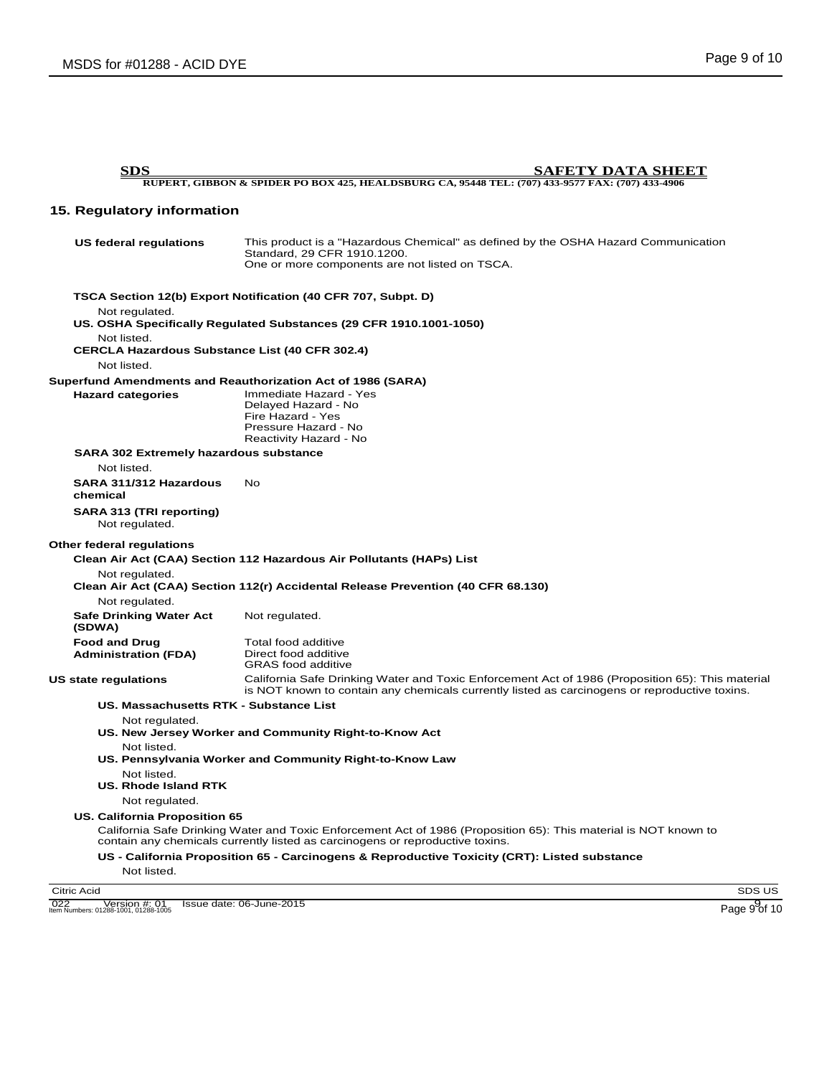| <b>SDS</b>                                                                          | <b>SAFETY DATA SHEET</b>                                                                                                                                                                          |
|-------------------------------------------------------------------------------------|---------------------------------------------------------------------------------------------------------------------------------------------------------------------------------------------------|
|                                                                                     | RUPERT, GIBBON & SPIDER PO BOX 425, HEALDSBURG CA, 95448 TEL: (707) 433-9577 FAX: (707) 433-4906                                                                                                  |
| 15. Regulatory information                                                          |                                                                                                                                                                                                   |
| US federal regulations                                                              | This product is a "Hazardous Chemical" as defined by the OSHA Hazard Communication<br>Standard, 29 CFR 1910.1200.<br>One or more components are not listed on TSCA.                               |
|                                                                                     | TSCA Section 12(b) Export Notification (40 CFR 707, Subpt. D)                                                                                                                                     |
| Not regulated.                                                                      | US. OSHA Specifically Regulated Substances (29 CFR 1910.1001-1050)                                                                                                                                |
| Not listed.<br><b>CERCLA Hazardous Substance List (40 CFR 302.4)</b><br>Not listed. |                                                                                                                                                                                                   |
|                                                                                     | <b>Superfund Amendments and Reauthorization Act of 1986 (SARA)</b>                                                                                                                                |
| <b>Hazard categories</b>                                                            | Immediate Hazard - Yes<br>Delayed Hazard - No<br>Fire Hazard - Yes<br>Pressure Hazard - No<br>Reactivity Hazard - No                                                                              |
| <b>SARA 302 Extremely hazardous substance</b>                                       |                                                                                                                                                                                                   |
| Not listed.                                                                         |                                                                                                                                                                                                   |
| SARA 311/312 Hazardous<br>chemical                                                  | <b>No</b>                                                                                                                                                                                         |
| SARA 313 (TRI reporting)<br>Not regulated.                                          |                                                                                                                                                                                                   |
| Other federal regulations                                                           |                                                                                                                                                                                                   |
|                                                                                     | Clean Air Act (CAA) Section 112 Hazardous Air Pollutants (HAPs) List                                                                                                                              |
| Not regulated.                                                                      | Clean Air Act (CAA) Section 112(r) Accidental Release Prevention (40 CFR 68.130)                                                                                                                  |
| Not regulated.<br><b>Safe Drinking Water Act</b>                                    | Not regulated.                                                                                                                                                                                    |
| (SDWA)                                                                              |                                                                                                                                                                                                   |
| <b>Food and Drug</b><br><b>Administration (FDA)</b>                                 | Total food additive<br>Direct food additive<br><b>GRAS</b> food additive                                                                                                                          |
| <b>US state regulations</b>                                                         | California Safe Drinking Water and Toxic Enforcement Act of 1986 (Proposition 65): This material<br>is NOT known to contain any chemicals currently listed as carcinogens or reproductive toxins. |
| US. Massachusetts RTK - Substance List                                              |                                                                                                                                                                                                   |
| Not regulated.                                                                      | US. New Jersey Worker and Community Right-to-Know Act                                                                                                                                             |
| Not listed.                                                                         | US. Pennsylvania Worker and Community Right-to-Know Law                                                                                                                                           |
| Not listed.<br>US. Rhode Island RTK                                                 |                                                                                                                                                                                                   |
| Not regulated.                                                                      |                                                                                                                                                                                                   |
| <b>US. California Proposition 65</b>                                                |                                                                                                                                                                                                   |
|                                                                                     | California Safe Drinking Water and Toxic Enforcement Act of 1986 (Proposition 65): This material is NOT known to<br>contain any chemicals currently listed as carcinogens or reproductive toxins. |
| Not listed.                                                                         | US - California Proposition 65 - Carcinogens & Reproductive Toxicity (CRT): Listed substance                                                                                                      |
| <b>Citric Acid</b>                                                                  | SDS US                                                                                                                                                                                            |
|                                                                                     |                                                                                                                                                                                                   |

022 Version #: 01 Issue date: 06-June-2015 Item Numbers: 01288-1001, 01288-1005 Page 9 of 10

SDS US

9